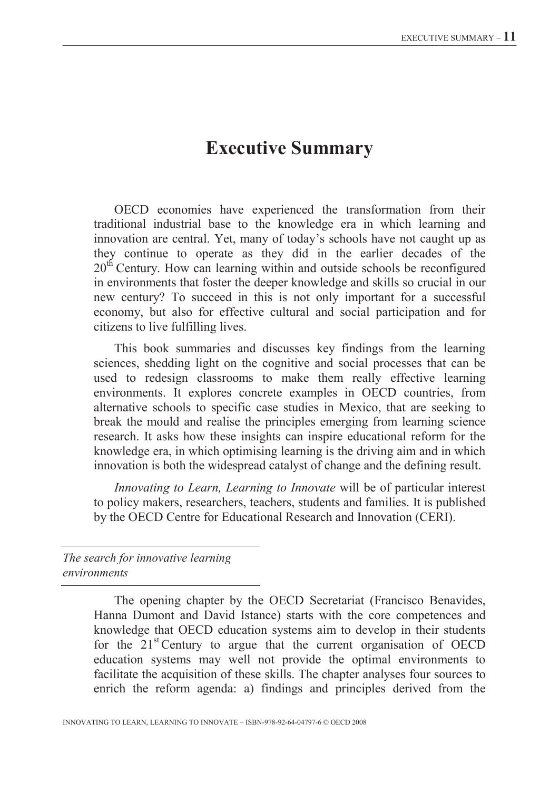## **Executive Summary**

OECD economies have experienced the transformation from their traditional industrial base to the knowledge era in which learning and innovation are central. Yet, many of today's schools have not caught up as they continue to operate as they did in the earlier decades of the  $20<sup>th</sup>$  Century. How can learning within and outside schools be reconfigured in environments that foster the deeper knowledge and skills so crucial in our new century? To succeed in this is not only important for a successful economy, but also for effective cultural and social participation and for citizens to live fulfilling lives.

This book summaries and discusses key findings from the learning sciences, shedding light on the cognitive and social processes that can be used to redesign classrooms to make them really effective learning environments. It explores concrete examples in OECD countries, from alternative schools to specific case studies in Mexico, that are seeking to break the mould and realise the principles emerging from learning science research. It asks how these insights can inspire educational reform for the knowledge era, in which optimising learning is the driving aim and in which innovation is both the widespread catalyst of change and the defining result.

*Innovating to Learn, Learning to Innovate* will be of particular interest to policy makers, researchers, teachers, students and families. It is published by the OECD Centre for Educational Research and Innovation (CERI).

*The search for innovative learning environments*

The opening chapter by the OECD Secretariat (Francisco Benavides, Hanna Dumont and David Istance) starts with the core competences and knowledge that OECD education systems aim to develop in their students for the  $21<sup>st</sup>$  Century to argue that the current organisation of OECD education systems may well not provide the optimal environments to facilitate the acquisition of these skills. The chapter analyses four sources to enrich the reform agenda: a) findings and principles derived from the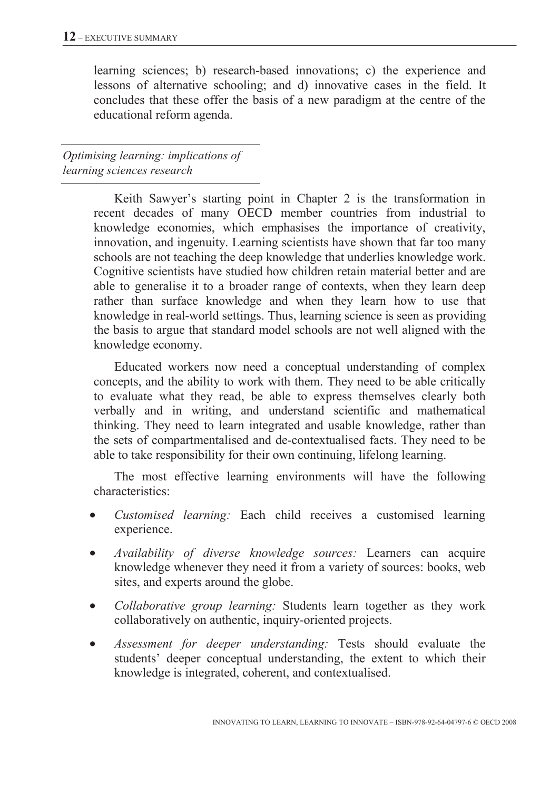learning sciences; b) research-based innovations; c) the experience and lessons of alternative schooling; and d) innovative cases in the field. It concludes that these offer the basis of a new paradigm at the centre of the educational reform agenda.

*Optimising learning: implications of learning sciences research*

> Keith Sawyer's starting point in Chapter 2 is the transformation in recent decades of many OECD member countries from industrial to knowledge economies, which emphasises the importance of creativity, innovation, and ingenuity. Learning scientists have shown that far too many schools are not teaching the deep knowledge that underlies knowledge work. Cognitive scientists have studied how children retain material better and are able to generalise it to a broader range of contexts, when they learn deep rather than surface knowledge and when they learn how to use that knowledge in real-world settings. Thus, learning science is seen as providing the basis to argue that standard model schools are not well aligned with the knowledge economy.

> Educated workers now need a conceptual understanding of complex concepts, and the ability to work with them. They need to be able critically to evaluate what they read, be able to express themselves clearly both verbally and in writing, and understand scientific and mathematical thinking. They need to learn integrated and usable knowledge, rather than the sets of compartmentalised and de-contextualised facts. They need to be able to take responsibility for their own continuing, lifelong learning.

> The most effective learning environments will have the following characteristics:

- *Customised learning:* Each child receives a customised learning experience.
- *Availability of diverse knowledge sources:* Learners can acquire knowledge whenever they need it from a variety of sources: books, web sites, and experts around the globe.
- *Collaborative group learning:* Students learn together as they work collaboratively on authentic, inquiry-oriented projects.
- *Assessment for deeper understanding:* Tests should evaluate the students' deeper conceptual understanding, the extent to which their knowledge is integrated, coherent, and contextualised.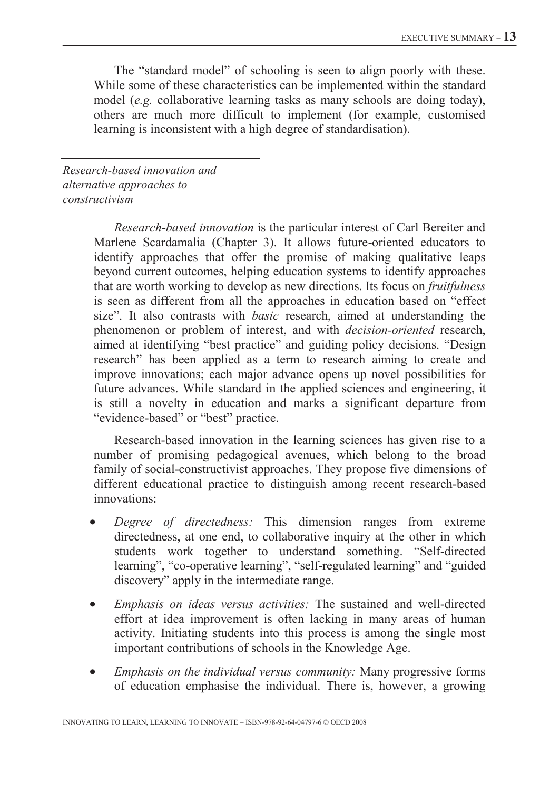The "standard model" of schooling is seen to align poorly with these. While some of these characteristics can be implemented within the standard model (*e.g.* collaborative learning tasks as many schools are doing today), others are much more difficult to implement (for example, customised learning is inconsistent with a high degree of standardisation).

*Research-based innovation and alternative approaches to constructivism*

> *Research-based innovation* is the particular interest of Carl Bereiter and Marlene Scardamalia (Chapter 3). It allows future-oriented educators to identify approaches that offer the promise of making qualitative leaps beyond current outcomes, helping education systems to identify approaches that are worth working to develop as new directions. Its focus on *fruitfulness* is seen as different from all the approaches in education based on "effect size". It also contrasts with *basic* research, aimed at understanding the phenomenon or problem of interest, and with *decision-oriented* research, aimed at identifying "best practice" and guiding policy decisions. "Design research" has been applied as a term to research aiming to create and improve innovations; each major advance opens up novel possibilities for future advances. While standard in the applied sciences and engineering, it is still a novelty in education and marks a significant departure from "evidence-based" or "best" practice.

> Research-based innovation in the learning sciences has given rise to a number of promising pedagogical avenues, which belong to the broad family of social-constructivist approaches. They propose five dimensions of different educational practice to distinguish among recent research-based innovations:

- *Degree of directedness:* This dimension ranges from extreme directedness, at one end, to collaborative inquiry at the other in which students work together to understand something. "Self-directed learning", "co-operative learning", "self-regulated learning" and "guided discovery" apply in the intermediate range.
- *Emphasis on ideas versus activities:* The sustained and well-directed effort at idea improvement is often lacking in many areas of human activity. Initiating students into this process is among the single most important contributions of schools in the Knowledge Age.
- *Emphasis on the individual versus community:* Many progressive forms of education emphasise the individual. There is, however, a growing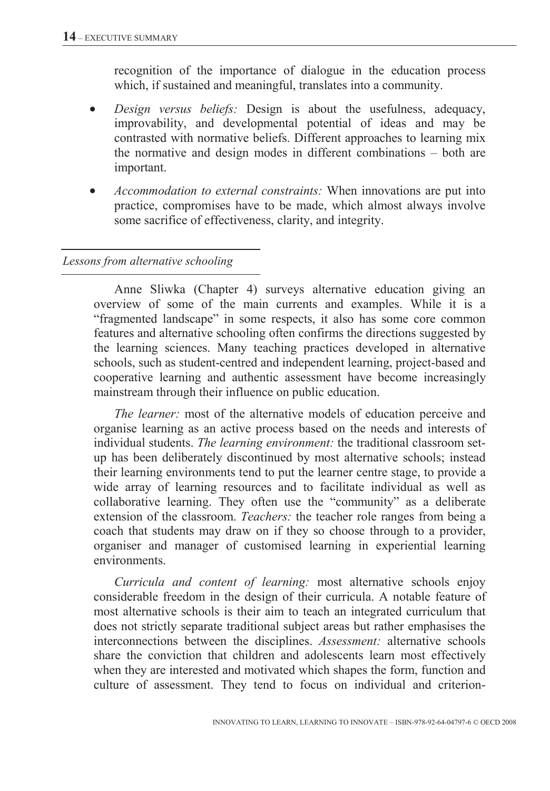recognition of the importance of dialogue in the education process which, if sustained and meaningful, translates into a community.

- *Design versus beliefs:* Design is about the usefulness, adequacy, improvability, and developmental potential of ideas and may be contrasted with normative beliefs. Different approaches to learning mix the normative and design modes in different combinations – both are important.
- *Accommodation to external constraints:* When innovations are put into practice, compromises have to be made, which almost always involve some sacrifice of effectiveness, clarity, and integrity.

## *Lessons from alternative schooling*

Anne Sliwka (Chapter 4) surveys alternative education giving an overview of some of the main currents and examples. While it is a "fragmented landscape" in some respects, it also has some core common features and alternative schooling often confirms the directions suggested by the learning sciences. Many teaching practices developed in alternative schools, such as student-centred and independent learning, project-based and cooperative learning and authentic assessment have become increasingly mainstream through their influence on public education.

*The learner:* most of the alternative models of education perceive and organise learning as an active process based on the needs and interests of individual students. *The learning environment:* the traditional classroom setup has been deliberately discontinued by most alternative schools; instead their learning environments tend to put the learner centre stage, to provide a wide array of learning resources and to facilitate individual as well as collaborative learning. They often use the "community" as a deliberate extension of the classroom. *Teachers:* the teacher role ranges from being a coach that students may draw on if they so choose through to a provider, organiser and manager of customised learning in experiential learning environments.

*Curricula and content of learning:* most alternative schools enjoy considerable freedom in the design of their curricula. A notable feature of most alternative schools is their aim to teach an integrated curriculum that does not strictly separate traditional subject areas but rather emphasises the interconnections between the disciplines. *Assessment:* alternative schools share the conviction that children and adolescents learn most effectively when they are interested and motivated which shapes the form, function and culture of assessment. They tend to focus on individual and criterion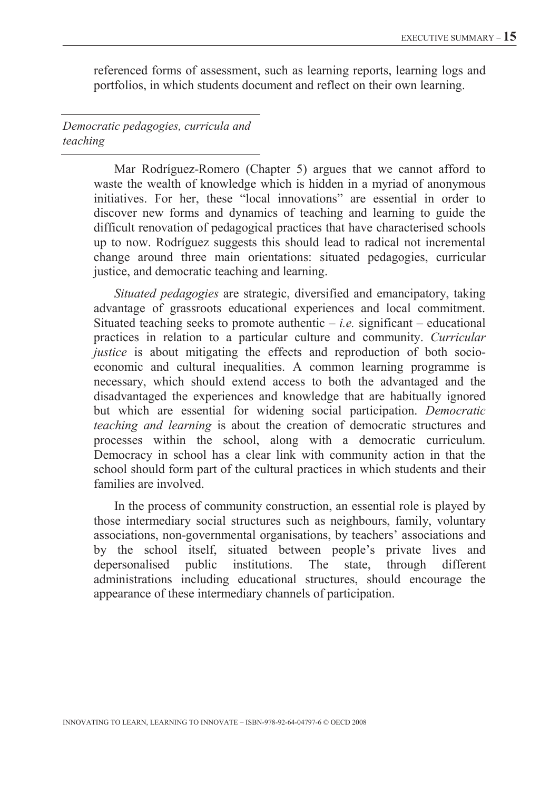referenced forms of assessment, such as learning reports, learning logs and portfolios, in which students document and reflect on their own learning.

*Democratic pedagogies, curricula and teaching*

> Mar Rodríguez-Romero (Chapter 5) argues that we cannot afford to waste the wealth of knowledge which is hidden in a myriad of anonymous initiatives. For her, these "local innovations" are essential in order to discover new forms and dynamics of teaching and learning to guide the difficult renovation of pedagogical practices that have characterised schools up to now. Rodríguez suggests this should lead to radical not incremental change around three main orientations: situated pedagogies, curricular justice, and democratic teaching and learning.

> *Situated pedagogies* are strategic, diversified and emancipatory, taking advantage of grassroots educational experiences and local commitment. Situated teaching seeks to promote authentic  $-i.e.$  significant – educational practices in relation to a particular culture and community. *Curricular justice* is about mitigating the effects and reproduction of both socioeconomic and cultural inequalities. A common learning programme is necessary, which should extend access to both the advantaged and the disadvantaged the experiences and knowledge that are habitually ignored but which are essential for widening social participation. *Democratic teaching and learning* is about the creation of democratic structures and processes within the school, along with a democratic curriculum. Democracy in school has a clear link with community action in that the school should form part of the cultural practices in which students and their families are involved.

> In the process of community construction, an essential role is played by those intermediary social structures such as neighbours, family, voluntary associations, non-governmental organisations, by teachers' associations and by the school itself, situated between people's private lives and depersonalised public institutions. The state, through different administrations including educational structures, should encourage the appearance of these intermediary channels of participation.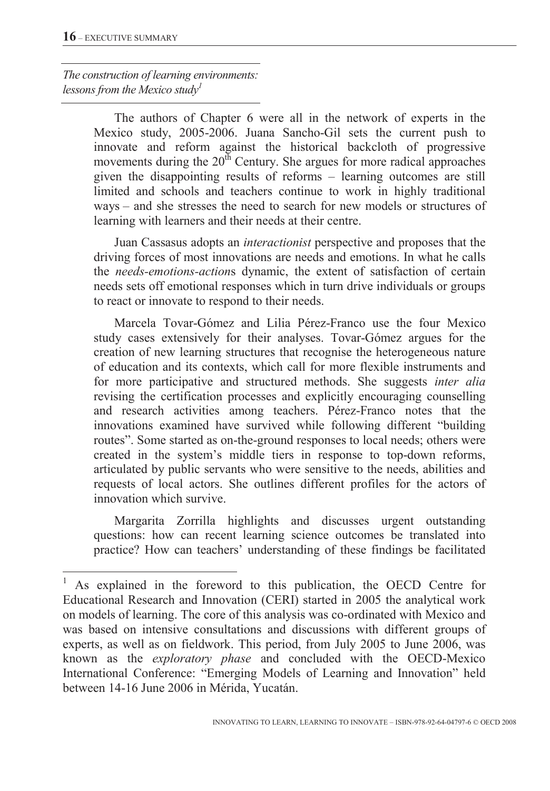*The construction of learning environments: lessons from the Mexico study1*

> The authors of Chapter 6 were all in the network of experts in the Mexico study, 2005-2006. Juana Sancho-Gil sets the current push to innovate and reform against the historical backcloth of progressive movements during the  $20^{th}$  Century. She argues for more radical approaches given the disappointing results of reforms – learning outcomes are still limited and schools and teachers continue to work in highly traditional ways – and she stresses the need to search for new models or structures of learning with learners and their needs at their centre.

> Juan Cassasus adopts an *interactionist* perspective and proposes that the driving forces of most innovations are needs and emotions. In what he calls the *needs-emotions-action*s dynamic, the extent of satisfaction of certain needs sets off emotional responses which in turn drive individuals or groups to react or innovate to respond to their needs.

> Marcela Tovar-Gómez and Lilia Pérez-Franco use the four Mexico study cases extensively for their analyses. Tovar-Gómez argues for the creation of new learning structures that recognise the heterogeneous nature of education and its contexts, which call for more flexible instruments and for more participative and structured methods. She suggests *inter alia* revising the certification processes and explicitly encouraging counselling and research activities among teachers. Pérez-Franco notes that the innovations examined have survived while following different "building routes". Some started as on-the-ground responses to local needs; others were created in the system's middle tiers in response to top-down reforms, articulated by public servants who were sensitive to the needs, abilities and requests of local actors. She outlines different profiles for the actors of innovation which survive.

> Margarita Zorrilla highlights and discusses urgent outstanding questions: how can recent learning science outcomes be translated into practice? How can teachers' understanding of these findings be facilitated

<sup>1</sup> As explained in the foreword to this publication, the OECD Centre for Educational Research and Innovation (CERI) started in 2005 the analytical work on models of learning. The core of this analysis was co-ordinated with Mexico and was based on intensive consultations and discussions with different groups of experts, as well as on fieldwork. This period, from July 2005 to June 2006, was known as the *exploratory phase* and concluded with the OECD-Mexico International Conference: "Emerging Models of Learning and Innovation" held between 14-16 June 2006 in Mérida, Yucatán.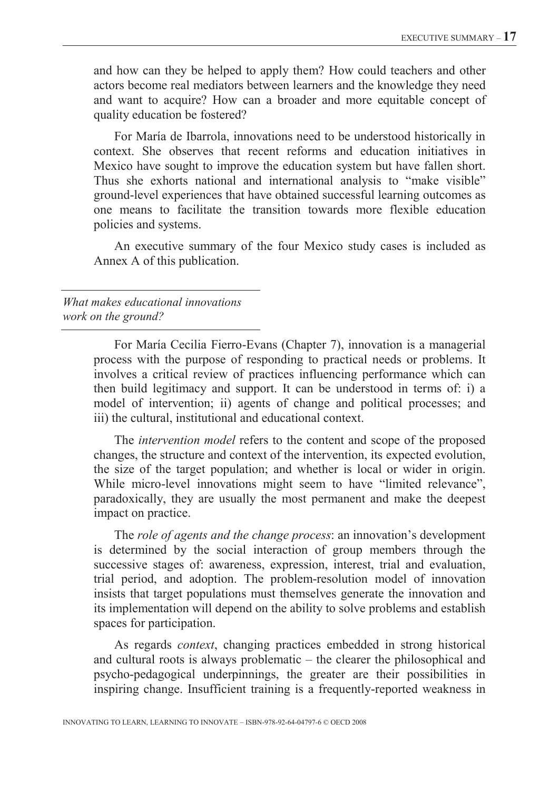and how can they be helped to apply them? How could teachers and other actors become real mediators between learners and the knowledge they need and want to acquire? How can a broader and more equitable concept of quality education be fostered?

For María de Ibarrola, innovations need to be understood historically in context. She observes that recent reforms and education initiatives in Mexico have sought to improve the education system but have fallen short. Thus she exhorts national and international analysis to "make visible" ground-level experiences that have obtained successful learning outcomes as one means to facilitate the transition towards more flexible education policies and systems.

An executive summary of the four Mexico study cases is included as Annex A of this publication.

## *What makes educational innovations work on the ground?*

For María Cecilia Fierro-Evans (Chapter 7), innovation is a managerial process with the purpose of responding to practical needs or problems. It involves a critical review of practices influencing performance which can then build legitimacy and support. It can be understood in terms of: i) a model of intervention; ii) agents of change and political processes; and iii) the cultural, institutional and educational context.

The *intervention model* refers to the content and scope of the proposed changes, the structure and context of the intervention, its expected evolution, the size of the target population; and whether is local or wider in origin. While micro-level innovations might seem to have "limited relevance", paradoxically, they are usually the most permanent and make the deepest impact on practice.

The *role of agents and the change process*: an innovation's development is determined by the social interaction of group members through the successive stages of: awareness, expression, interest, trial and evaluation, trial period, and adoption. The problem-resolution model of innovation insists that target populations must themselves generate the innovation and its implementation will depend on the ability to solve problems and establish spaces for participation.

As regards *context*, changing practices embedded in strong historical and cultural roots is always problematic – the clearer the philosophical and psycho-pedagogical underpinnings, the greater are their possibilities in inspiring change. Insufficient training is a frequently-reported weakness in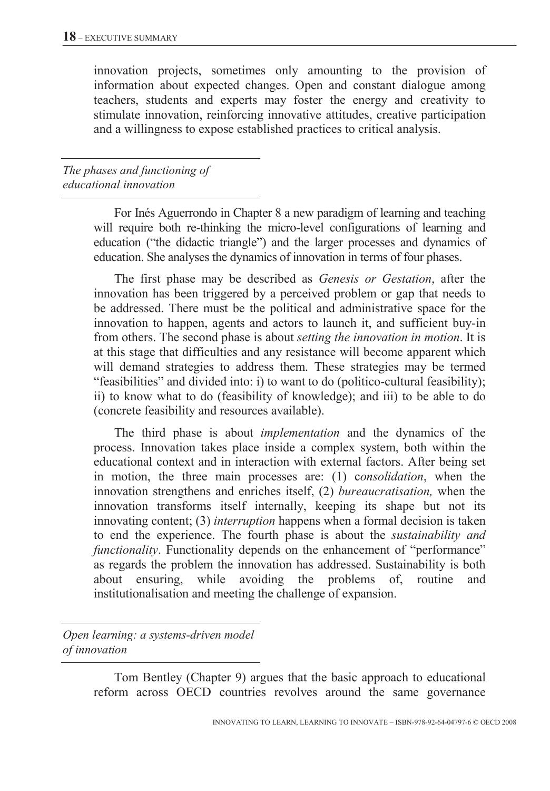innovation projects, sometimes only amounting to the provision of information about expected changes. Open and constant dialogue among teachers, students and experts may foster the energy and creativity to stimulate innovation, reinforcing innovative attitudes, creative participation and a willingness to expose established practices to critical analysis.

## *The phases and functioning of educational innovation*

For Inés Aguerrondo in Chapter 8 a new paradigm of learning and teaching will require both re-thinking the micro-level configurations of learning and education ("the didactic triangle") and the larger processes and dynamics of education. She analyses the dynamics of innovation in terms of four phases.

The first phase may be described as *Genesis or Gestation*, after the innovation has been triggered by a perceived problem or gap that needs to be addressed. There must be the political and administrative space for the innovation to happen, agents and actors to launch it, and sufficient buy-in from others. The second phase is about *setting the innovation in motion*. It is at this stage that difficulties and any resistance will become apparent which will demand strategies to address them. These strategies may be termed "feasibilities" and divided into: i) to want to do (politico-cultural feasibility); ii) to know what to do (feasibility of knowledge); and iii) to be able to do (concrete feasibility and resources available).

The third phase is about *implementation* and the dynamics of the process. Innovation takes place inside a complex system, both within the educational context and in interaction with external factors. After being set in motion, the three main processes are: (1) c*onsolidation*, when the innovation strengthens and enriches itself, (2) *bureaucratisation,* when the innovation transforms itself internally, keeping its shape but not its innovating content; (3) *interruption* happens when a formal decision is taken to end the experience. The fourth phase is about the *sustainability and functionality*. Functionality depends on the enhancement of "performance" as regards the problem the innovation has addressed. Sustainability is both about ensuring, while avoiding the problems of, routine and institutionalisation and meeting the challenge of expansion.

*Open learning: a systems-driven model of innovation*

> Tom Bentley (Chapter 9) argues that the basic approach to educational reform across OECD countries revolves around the same governance